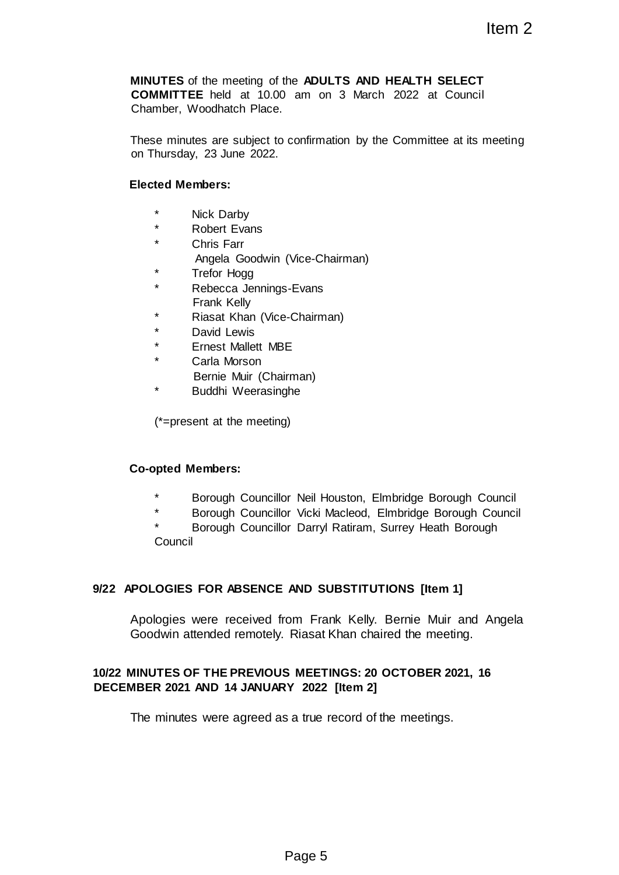**MINUTES** of the meeting of the **ADULTS AND HEALTH SELECT COMMITTEE** held at 10.00 am on 3 March 2022 at Council Chamber, Woodhatch Place. Item 2<br>
The ADULTS AND HEALTH SELECT<br>
am on 3 March 2022 at Council<br>
confirmation by the Committee at its meeting<br>
CNeirman)<br>
S-Evans<br>
Chairman)<br>
E<br>
Figure 5<br>
Pheil Houston, Elimbridge Borough Council<br>
phe<br>
pheil<br>
S-Theory

These minutes are subject to confirmation by the Committee at its meeting on Thursday, 23 June 2022.

#### **Elected Members:**

- \* Nick Darby
- \* Robert Evans
- \* Chris Farr
	- Angela Goodwin (Vice-Chairman)
- \* Trefor Hogg
- Rebecca Jennings-Evans Frank Kelly
- \* Riasat Khan (Vice-Chairman)
- \* David Lewis
- **Ernest Mallett MBE**
- Carla Morson
	- Bernie Muir (Chairman)
- Buddhi Weerasinghe

(\*=present at the meeting)

#### **Co-opted Members:**

- \* Borough Councillor Neil Houston, Elmbridge Borough Council
- \* Borough Councillor Vicki Macleod, Elmbridge Borough Council

\* Borough Councillor Darryl Ratiram, Surrey Heath Borough **Council** 

## **9/22 APOLOGIES FOR ABSENCE AND SUBSTITUTIONS [Item 1]**

Apologies were received from Frank Kelly. Bernie Muir and Angela Goodwin attended remotely. Riasat Khan chaired the meeting.

## **10/22 MINUTES OF THE PREVIOUS MEETINGS: 20 OCTOBER 2021, 16 DECEMBER 2021 AND 14 JANUARY 2022 [Item 2]**

The minutes were agreed as a true record of the meetings.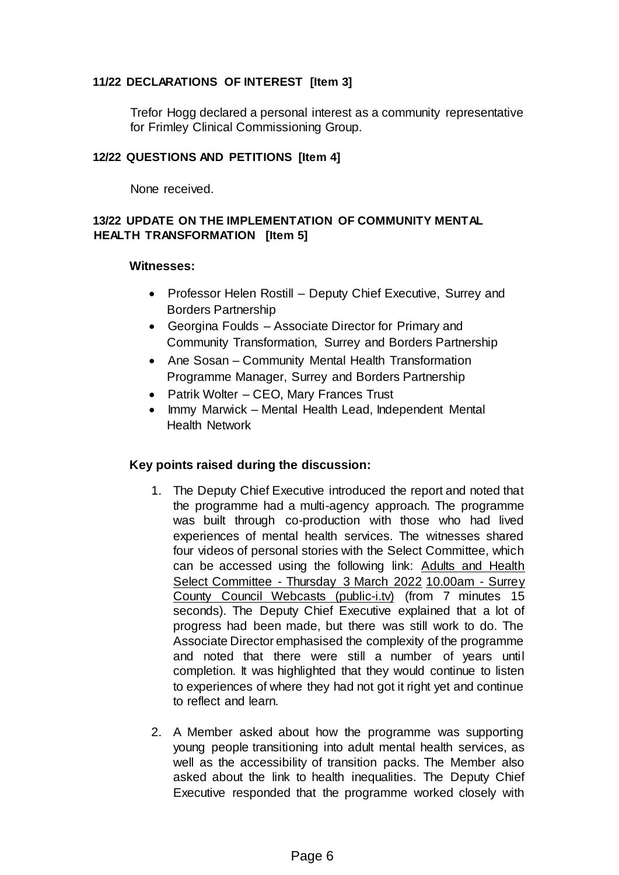## **11/22 DECLARATIONS OF INTEREST [Item 3]**

Trefor Hogg declared a personal interest as a community representative for Frimley Clinical Commissioning Group.

### **12/22 QUESTIONS AND PETITIONS [Item 4]**

None received.

# **13/22 UPDATE ON THE IMPLEMENTATION OF COMMUNITY MENTAL HEALTH TRANSFORMATION [Item 5]**

### **Witnesses:**

- Professor Helen Rostill Deputy Chief Executive, Surrey and Borders Partnership
- Georgina Foulds Associate Director for Primary and Community Transformation, Surrey and Borders Partnership
- Ane Sosan Community Mental Health Transformation Programme Manager, Surrey and Borders Partnership
- Patrik Wolter CEO, Mary Frances Trust
- Immy Marwick Mental Health Lead, Independent Mental Health Network

- 1. The Deputy Chief Executive introduced the report and noted that the programme had a multi-agency approach. The programme was built through co-production with those who had lived experiences of mental health services. The witnesses shared four videos of personal stories with the Select Committee, which can be accessed using the following link: [Adults and Health](https://surreycc.public-i.tv/core/portal/webcast_interactive/634655) [Select Committee](https://surreycc.public-i.tv/core/portal/webcast_interactive/634655) [-](https://surreycc.public-i.tv/core/portal/webcast_interactive/634655) [Thursday 3 March 2022](https://surreycc.public-i.tv/core/portal/webcast_interactive/634655) [10.00am](https://surreycc.public-i.tv/core/portal/webcast_interactive/634655) [-](https://surreycc.public-i.tv/core/portal/webcast_interactive/634655) [Surrey](https://surreycc.public-i.tv/core/portal/webcast_interactive/634655) [County Council Webcasts \(public-i.tv\)](https://surreycc.public-i.tv/core/portal/webcast_interactive/634655) [\(f](https://surreycc.public-i.tv/core/portal/webcast_interactive/634655)rom 7 minutes 15 seconds). The Deputy Chief Executive explained that a lot of progress had been made, but there was still work to do. The Associate Director emphasised the complexity of the programme and noted that there were still a number of years until completion. It was highlighted that they would continue to listen to experiences of where they had not got it right yet and continue to reflect and learn.
- 2. A Member asked about how the programme was supporting young people transitioning into adult mental health services, as well as the accessibility of transition packs. The Member also asked about the link to health inequalities. The Deputy Chief Executive responded that the programme worked closely with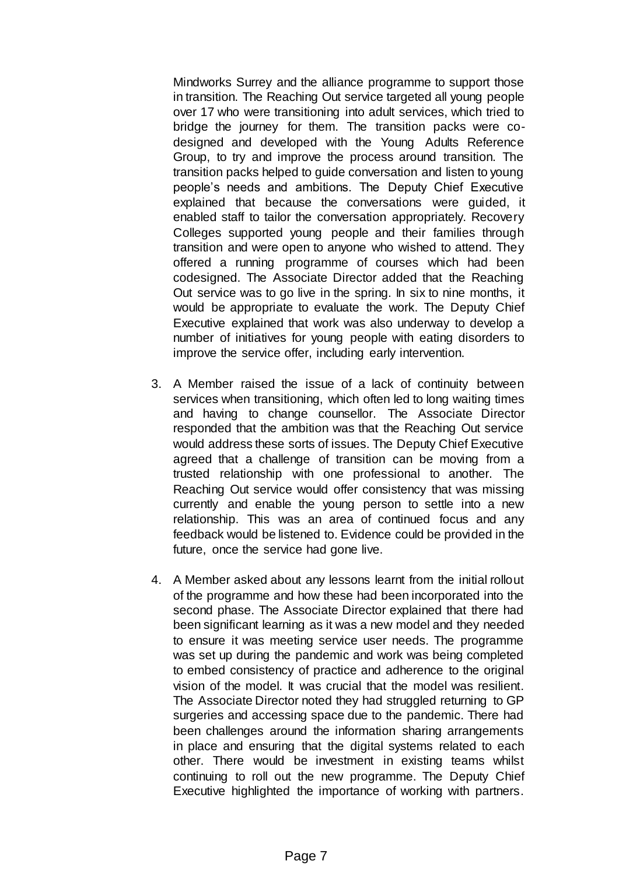Mindworks Surrey and the alliance programme to support those in transition. The Reaching Out service targeted all young people over 17 who were transitioning into adult services, which tried to bridge the journey for them. The transition packs were codesigned and developed with the Young Adults Reference Group, to try and improve the process around transition. The transition packs helped to guide conversation and listen to young people's needs and ambitions. The Deputy Chief Executive explained that because the conversations were guided, it enabled staff to tailor the conversation appropriately. Recovery Colleges supported young people and their families through transition and were open to anyone who wished to attend. They offered a running programme of courses which had been codesigned. The Associate Director added that the Reaching Out service was to go live in the spring. In six to nine months, it would be appropriate to evaluate the work. The Deputy Chief Executive explained that work was also underway to develop a number of initiatives for young people with eating disorders to improve the service offer, including early intervention.

- 3. A Member raised the issue of a lack of continuity between services when transitioning, which often led to long waiting times and having to change counsellor. The Associate Director responded that the ambition was that the Reaching Out service would address these sorts of issues. The Deputy Chief Executive agreed that a challenge of transition can be moving from a trusted relationship with one professional to another. The Reaching Out service would offer consistency that was missing currently and enable the young person to settle into a new relationship. This was an area of continued focus and any feedback would be listened to. Evidence could be provided in the future, once the service had gone live.
- 4. A Member asked about any lessons learnt from the initial rollout of the programme and how these had been incorporated into the second phase. The Associate Director explained that there had been significant learning as it was a new model and they needed to ensure it was meeting service user needs. The programme was set up during the pandemic and work was being completed to embed consistency of practice and adherence to the original vision of the model. It was crucial that the model was resilient. The Associate Director noted they had struggled returning to GP surgeries and accessing space due to the pandemic. There had been challenges around the information sharing arrangements in place and ensuring that the digital systems related to each other. There would be investment in existing teams whilst continuing to roll out the new programme. The Deputy Chief Executive highlighted the importance of working with partners.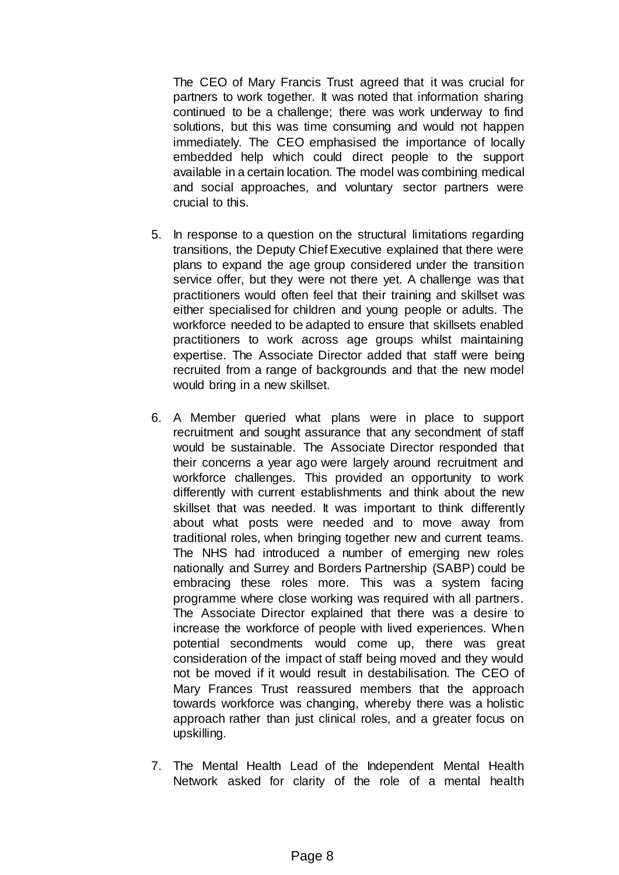The CEO of Mary Francis Trust agreed that it was crucial for partners to work together. It was noted that information sharing continued to be a challenge; there was work underway to find solutions, but this was time consuming and would not happen immediately. The CEO emphasised the importance of locally embedded help which could direct people to the support available in a certain location. The model was combining medical and social approaches, and voluntary sector partners were crucial to this.

- 5. In response to a question on the structural limitations regarding transitions, the Deputy Chief Executive explained that there were plans to expand the age group considered under the transition service offer, but they were not there yet. A challenge was that practitioners would often feel that their training and skillset was either specialised for children and young people or adults. The workforce needed to be adapted to ensure that skillsets enabled practitioners to work across age groups whilst maintaining expertise. The Associate Director added that staff were being recruited from a range of backgrounds and that the new model would bring in a new skillset.
- 6. A Member queried what plans were in place to support recruitment and sought assurance that any secondment of staff would be sustainable. The Associate Director responded that their concerns a year ago were largely around recruitment and workforce challenges. This provided an opportunity to work differently with current establishments and think about the new skillset that was needed. It was important to think differently about what posts were needed and to move away from traditional roles, when bringing together new and current teams. The NHS had introduced a number of emerging new roles nationally and Surrey and Borders Partnership (SABP) could be embracing these roles more. This was a system facing programme where close working was required with all partners. The Associate Director explained that there was a desire to increase the workforce of people with lived experiences. When potential secondments would come up, there was great consideration of the impact of staff being moved and they would not be moved if it would result in destabilisation. The CEO of Mary Frances Trust reassured members that the approach towards workforce was changing, whereby there was a holistic approach rather than just clinical roles, and a greater focus on upskilling.
- 7. The Mental Health Lead of the Independent Mental Health Network asked for clarity of the role of a mental health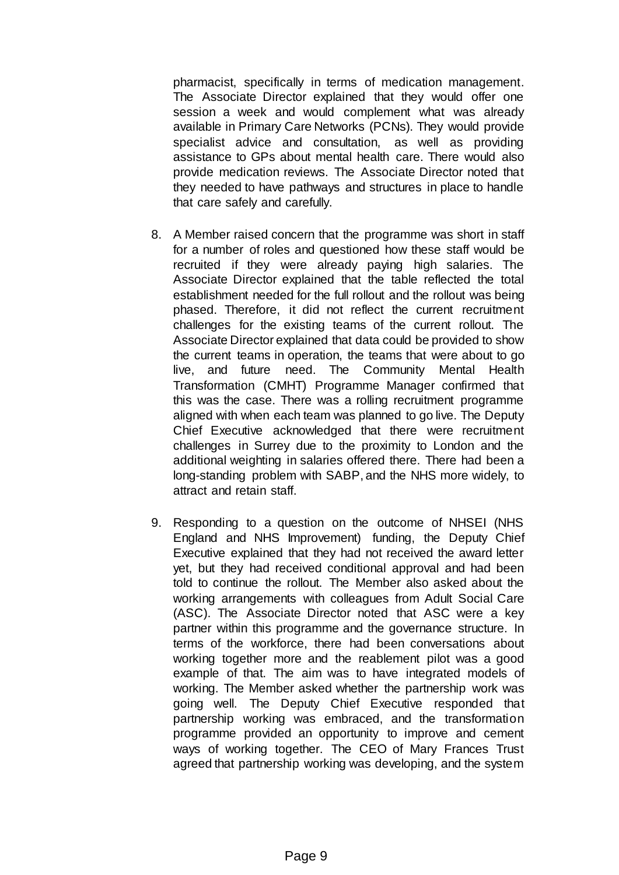pharmacist, specifically in terms of medication management. The Associate Director explained that they would offer one session a week and would complement what was already available in Primary Care Networks (PCNs). They would provide specialist advice and consultation, as well as providing assistance to GPs about mental health care. There would also provide medication reviews. The Associate Director noted that they needed to have pathways and structures in place to handle that care safely and carefully.

- 8. A Member raised concern that the programme was short in staff for a number of roles and questioned how these staff would be recruited if they were already paying high salaries. The Associate Director explained that the table reflected the total establishment needed for the full rollout and the rollout was being phased. Therefore, it did not reflect the current recruitment challenges for the existing teams of the current rollout. The Associate Director explained that data could be provided to show the current teams in operation, the teams that were about to go live, and future need. The Community Mental Health Transformation (CMHT) Programme Manager confirmed that this was the case. There was a rolling recruitment programme aligned with when each team was planned to go live. The Deputy Chief Executive acknowledged that there were recruitment challenges in Surrey due to the proximity to London and the additional weighting in salaries offered there. There had been a long-standing problem with SABP, and the NHS more widely, to attract and retain staff.
- 9. Responding to a question on the outcome of NHSEI (NHS England and NHS Improvement) funding, the Deputy Chief Executive explained that they had not received the award letter yet, but they had received conditional approval and had been told to continue the rollout. The Member also asked about the working arrangements with colleagues from Adult Social Care (ASC). The Associate Director noted that ASC were a key partner within this programme and the governance structure. In terms of the workforce, there had been conversations about working together more and the reablement pilot was a good example of that. The aim was to have integrated models of working. The Member asked whether the partnership work was going well. The Deputy Chief Executive responded that partnership working was embraced, and the transformation programme provided an opportunity to improve and cement ways of working together. The CEO of Mary Frances Trust agreed that partnership working was developing, and the system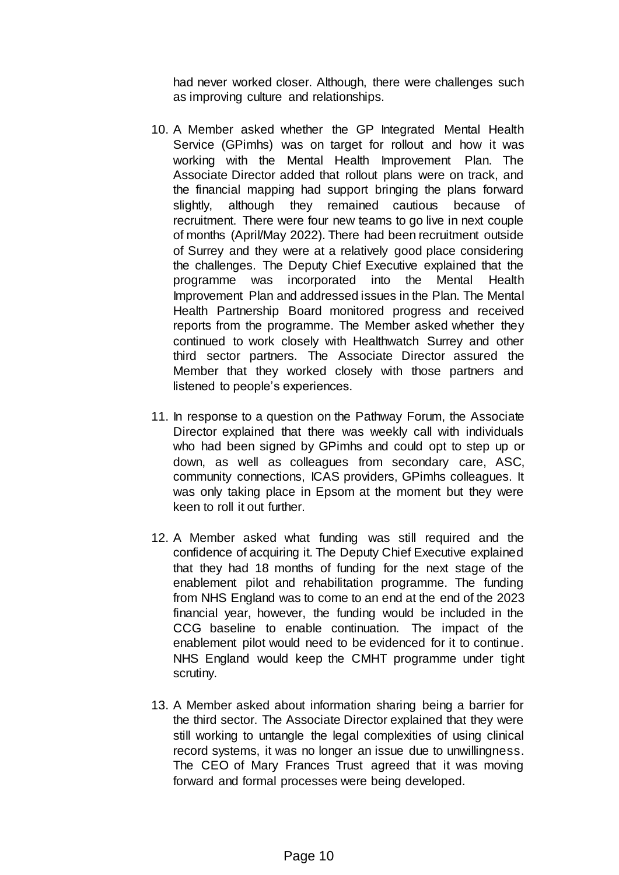had never worked closer. Although, there were challenges such as improving culture and relationships.

- 10. A Member asked whether the GP Integrated Mental Health Service (GPimhs) was on target for rollout and how it was working with the Mental Health Improvement Plan. The Associate Director added that rollout plans were on track, and the financial mapping had support bringing the plans forward slightly, although they remained cautious because of recruitment. There were four new teams to go live in next couple of months (April/May 2022). There had been recruitment outside of Surrey and they were at a relatively good place considering the challenges. The Deputy Chief Executive explained that the programme was incorporated into the Mental Health Improvement Plan and addressed issues in the Plan. The Mental Health Partnership Board monitored progress and received reports from the programme. The Member asked whether they continued to work closely with Healthwatch Surrey and other third sector partners. The Associate Director assured the Member that they worked closely with those partners and listened to people's experiences.
- 11. In response to a question on the Pathway Forum, the Associate Director explained that there was weekly call with individuals who had been signed by GPimhs and could opt to step up or down, as well as colleagues from secondary care, ASC, community connections, ICAS providers, GPimhs colleagues. It was only taking place in Epsom at the moment but they were keen to roll it out further.
- 12. A Member asked what funding was still required and the confidence of acquiring it. The Deputy Chief Executive explained that they had 18 months of funding for the next stage of the enablement pilot and rehabilitation programme. The funding from NHS England was to come to an end at the end of the 2023 financial year, however, the funding would be included in the CCG baseline to enable continuation. The impact of the enablement pilot would need to be evidenced for it to continue. NHS England would keep the CMHT programme under tight scrutiny.
- 13. A Member asked about information sharing being a barrier for the third sector. The Associate Director explained that they were still working to untangle the legal complexities of using clinical record systems, it was no longer an issue due to unwillingness. The CEO of Mary Frances Trust agreed that it was moving forward and formal processes were being developed.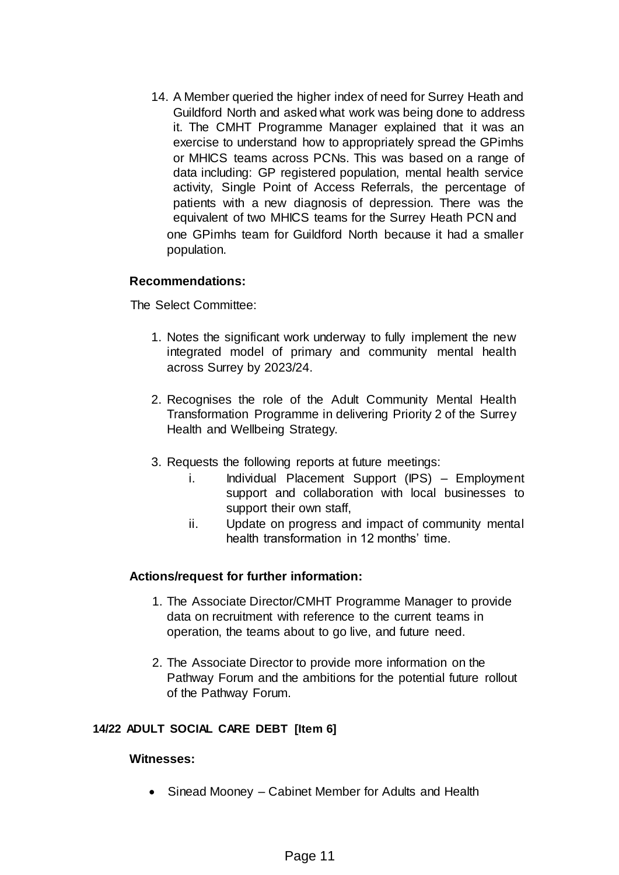14. A Member queried the higher index of need for Surrey Heath and Guildford North and asked what work was being done to address it. The CMHT Programme Manager explained that it was an exercise to understand how to appropriately spread the GPimhs or MHICS teams across PCNs. This was based on a range of data including: GP registered population, mental health service activity, Single Point of Access Referrals, the percentage of patients with a new diagnosis of depression. There was the equivalent of two MHICS teams for the Surrey Heath PCN and one GPimhs team for Guildford North because it had a smaller population.

## **Recommendations:**

The Select Committee:

- 1. Notes the significant work underway to fully implement the new integrated model of primary and community mental health across Surrey by 2023/24.
- 2. Recognises the role of the Adult Community Mental Health Transformation Programme in delivering Priority 2 of the Surrey Health and Wellbeing Strategy.
- 3. Requests the following reports at future meetings:
	- i. Individual Placement Support (IPS) Employment support and collaboration with local businesses to support their own staff,
	- ii. Update on progress and impact of community mental health transformation in 12 months' time.

## **Actions/request for further information:**

- 1. The Associate Director/CMHT Programme Manager to provide data on recruitment with reference to the current teams in operation, the teams about to go live, and future need.
- 2. The Associate Director to provide more information on the Pathway Forum and the ambitions for the potential future rollout of the Pathway Forum.

#### **14/22 ADULT SOCIAL CARE DEBT [Item 6]**

#### **Witnesses:**

• Sinead Mooney – Cabinet Member for Adults and Health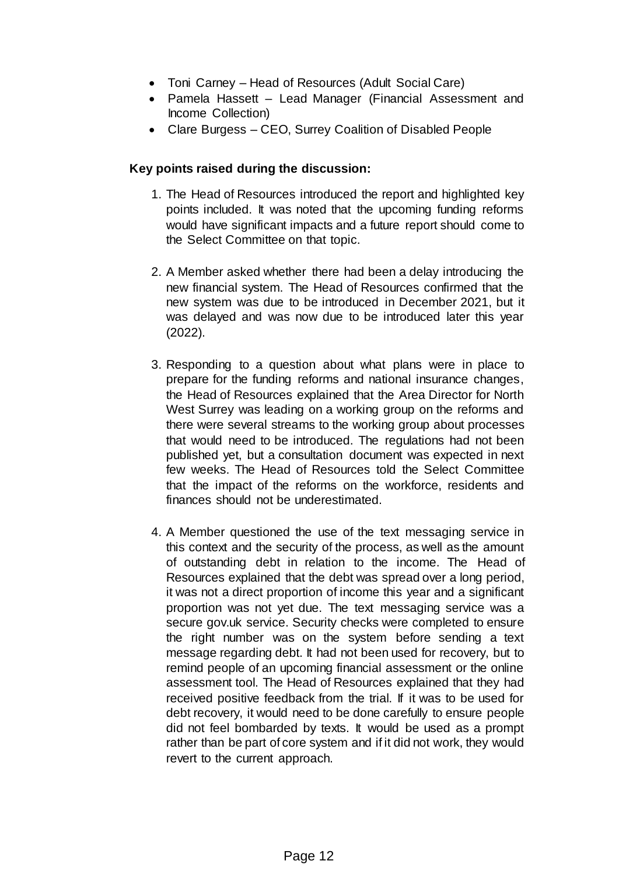- Toni Carney Head of Resources (Adult Social Care)
- Pamela Hassett Lead Manager (Financial Assessment and Income Collection)
- Clare Burgess CEO, Surrey Coalition of Disabled People

- 1. The Head of Resources introduced the report and highlighted key points included. It was noted that the upcoming funding reforms would have significant impacts and a future report should come to the Select Committee on that topic.
- 2. A Member asked whether there had been a delay introducing the new financial system. The Head of Resources confirmed that the new system was due to be introduced in December 2021, but it was delayed and was now due to be introduced later this year (2022).
- 3. Responding to a question about what plans were in place to prepare for the funding reforms and national insurance changes, the Head of Resources explained that the Area Director for North West Surrey was leading on a working group on the reforms and there were several streams to the working group about processes that would need to be introduced. The regulations had not been published yet, but a consultation document was expected in next few weeks. The Head of Resources told the Select Committee that the impact of the reforms on the workforce, residents and finances should not be underestimated.
- 4. A Member questioned the use of the text messaging service in this context and the security of the process, as well as the amount of outstanding debt in relation to the income. The Head of Resources explained that the debt was spread over a long period, it was not a direct proportion of income this year and a significant proportion was not yet due. The text messaging service was a secure gov.uk service. Security checks were completed to ensure the right number was on the system before sending a text message regarding debt. It had not been used for recovery, but to remind people of an upcoming financial assessment or the online assessment tool. The Head of Resources explained that they had received positive feedback from the trial. If it was to be used for debt recovery, it would need to be done carefully to ensure people did not feel bombarded by texts. It would be used as a prompt rather than be part of core system and if it did not work, they would revert to the current approach.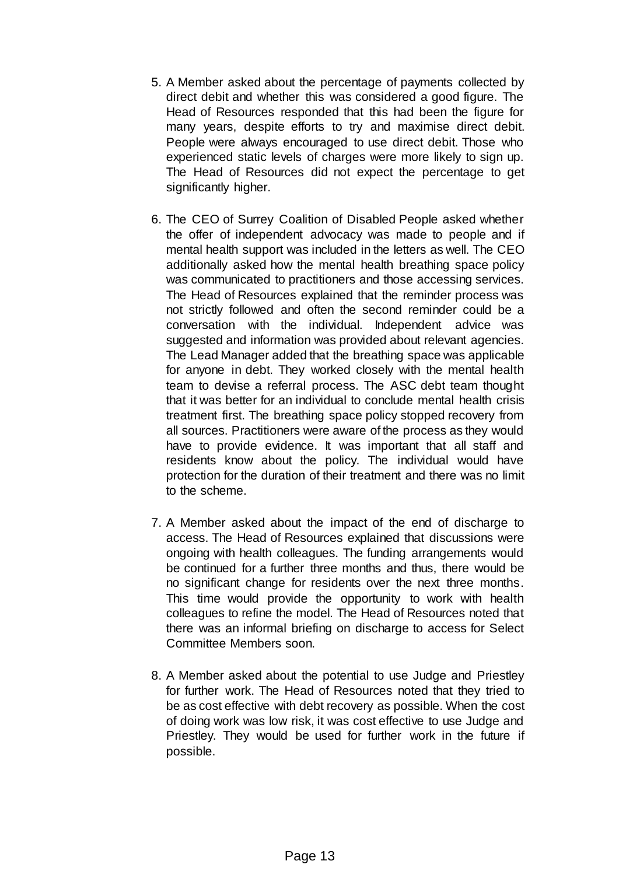- 5. A Member asked about the percentage of payments collected by direct debit and whether this was considered a good figure. The Head of Resources responded that this had been the figure for many years, despite efforts to try and maximise direct debit. People were always encouraged to use direct debit. Those who experienced static levels of charges were more likely to sign up. The Head of Resources did not expect the percentage to get significantly higher.
- 6. The CEO of Surrey Coalition of Disabled People asked whether the offer of independent advocacy was made to people and if mental health support was included in the letters as well. The CEO additionally asked how the mental health breathing space policy was communicated to practitioners and those accessing services. The Head of Resources explained that the reminder process was not strictly followed and often the second reminder could be a conversation with the individual. Independent advice was suggested and information was provided about relevant agencies. The Lead Manager added that the breathing space was applicable for anyone in debt. They worked closely with the mental health team to devise a referral process. The ASC debt team thought that it was better for an individual to conclude mental health crisis treatment first. The breathing space policy stopped recovery from all sources. Practitioners were aware of the process as they would have to provide evidence. It was important that all staff and residents know about the policy. The individual would have protection for the duration of their treatment and there was no limit to the scheme.
- 7. A Member asked about the impact of the end of discharge to access. The Head of Resources explained that discussions were ongoing with health colleagues. The funding arrangements would be continued for a further three months and thus, there would be no significant change for residents over the next three months. This time would provide the opportunity to work with health colleagues to refine the model. The Head of Resources noted that there was an informal briefing on discharge to access for Select Committee Members soon.
- 8. A Member asked about the potential to use Judge and Priestley for further work. The Head of Resources noted that they tried to be as cost effective with debt recovery as possible. When the cost of doing work was low risk, it was cost effective to use Judge and Priestley. They would be used for further work in the future if possible.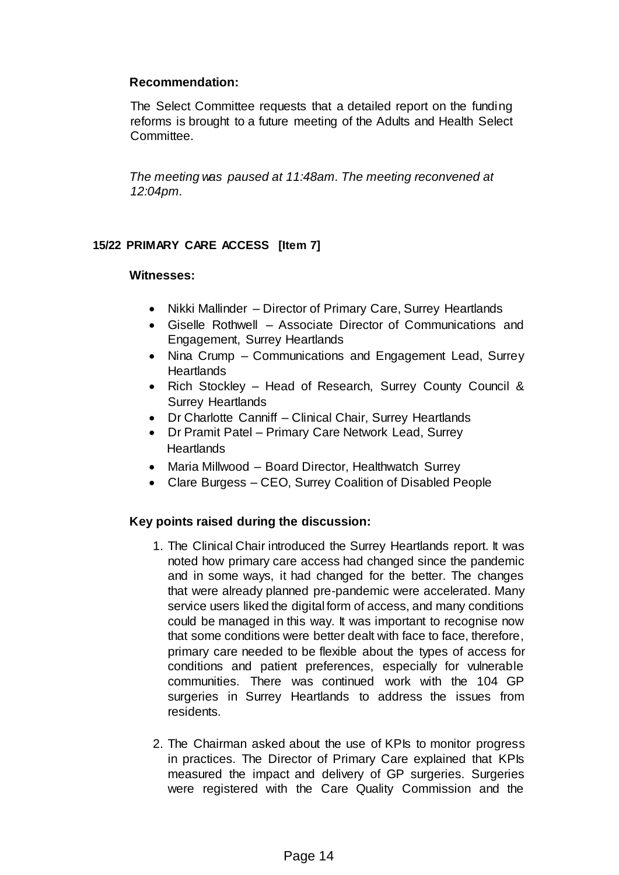# **Recommendation:**

The Select Committee requests that a detailed report on the funding reforms is brought to a future meeting of the Adults and Health Select Committee.

*The meeting was paused at 11:48am. The meeting reconvened at 12:04pm.* 

## **15/22 PRIMARY CARE ACCESS [Item 7]**

### **Witnesses:**

- Nikki Mallinder Director of Primary Care, Surrey Heartlands
- Giselle Rothwell Associate Director of Communications and Engagement, Surrey Heartlands
- Nina Crump Communications and Engagement Lead, Surrey **Heartlands**
- Rich Stockley Head of Research, Surrey County Council & Surrey Heartlands
- Dr Charlotte Canniff Clinical Chair, Surrey Heartlands
- Dr Pramit Patel Primary Care Network Lead, Surrey **Heartlands**
- Maria Millwood Board Director, Healthwatch Surrey
- Clare Burgess CEO, Surrey Coalition of Disabled People

- 1. The Clinical Chair introduced the Surrey Heartlands report. It was noted how primary care access had changed since the pandemic and in some ways, it had changed for the better. The changes that were already planned pre-pandemic were accelerated. Many service users liked the digital form of access, and many conditions could be managed in this way. It was important to recognise now that some conditions were better dealt with face to face, therefore, primary care needed to be flexible about the types of access for conditions and patient preferences, especially for vulnerable communities. There was continued work with the 104 GP surgeries in Surrey Heartlands to address the issues from residents.
- 2. The Chairman asked about the use of KPIs to monitor progress in practices. The Director of Primary Care explained that KPIs measured the impact and delivery of GP surgeries. Surgeries were registered with the Care Quality Commission and the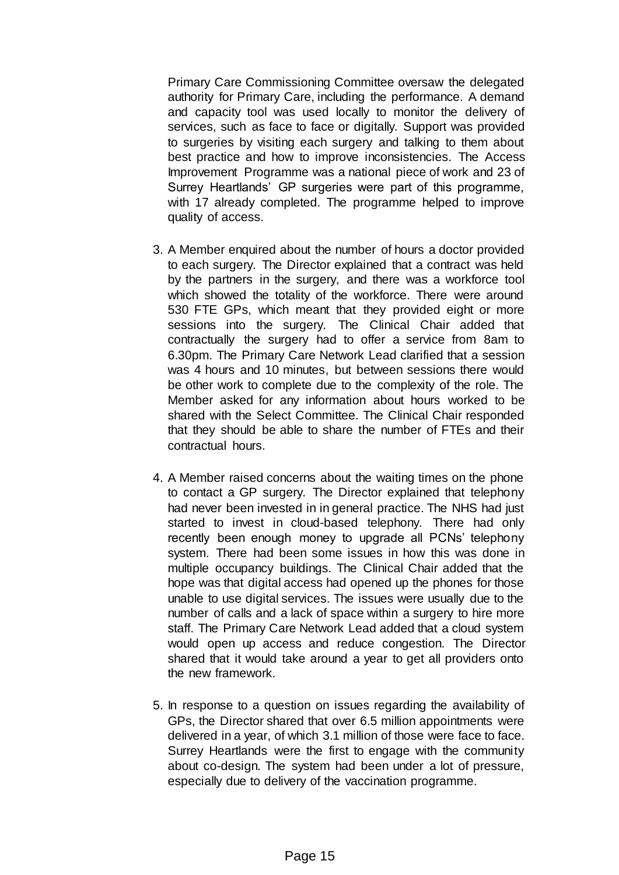Primary Care Commissioning Committee oversaw the delegated authority for Primary Care, including the performance. A demand and capacity tool was used locally to monitor the delivery of services, such as face to face or digitally. Support was provided to surgeries by visiting each surgery and talking to them about best practice and how to improve inconsistencies. The Access Improvement Programme was a national piece of work and 23 of Surrey Heartlands' GP surgeries were part of this programme, with 17 already completed. The programme helped to improve quality of access.

- 3. A Member enquired about the number of hours a doctor provided to each surgery. The Director explained that a contract was held by the partners in the surgery, and there was a workforce tool which showed the totality of the workforce. There were around 530 FTE GPs, which meant that they provided eight or more sessions into the surgery. The Clinical Chair added that contractually the surgery had to offer a service from 8am to 6.30pm. The Primary Care Network Lead clarified that a session was 4 hours and 10 minutes, but between sessions there would be other work to complete due to the complexity of the role. The Member asked for any information about hours worked to be shared with the Select Committee. The Clinical Chair responded that they should be able to share the number of FTEs and their contractual hours.
- 4. A Member raised concerns about the waiting times on the phone to contact a GP surgery. The Director explained that telephony had never been invested in in general practice. The NHS had just started to invest in cloud-based telephony. There had only recently been enough money to upgrade all PCNs' telephony system. There had been some issues in how this was done in multiple occupancy buildings. The Clinical Chair added that the hope was that digital access had opened up the phones for those unable to use digital services. The issues were usually due to the number of calls and a lack of space within a surgery to hire more staff. The Primary Care Network Lead added that a cloud system would open up access and reduce congestion. The Director shared that it would take around a year to get all providers onto the new framework.
- 5. In response to a question on issues regarding the availability of GPs, the Director shared that over 6.5 million appointments were delivered in a year, of which 3.1 million of those were face to face. Surrey Heartlands were the first to engage with the community about co-design. The system had been under a lot of pressure, especially due to delivery of the vaccination programme.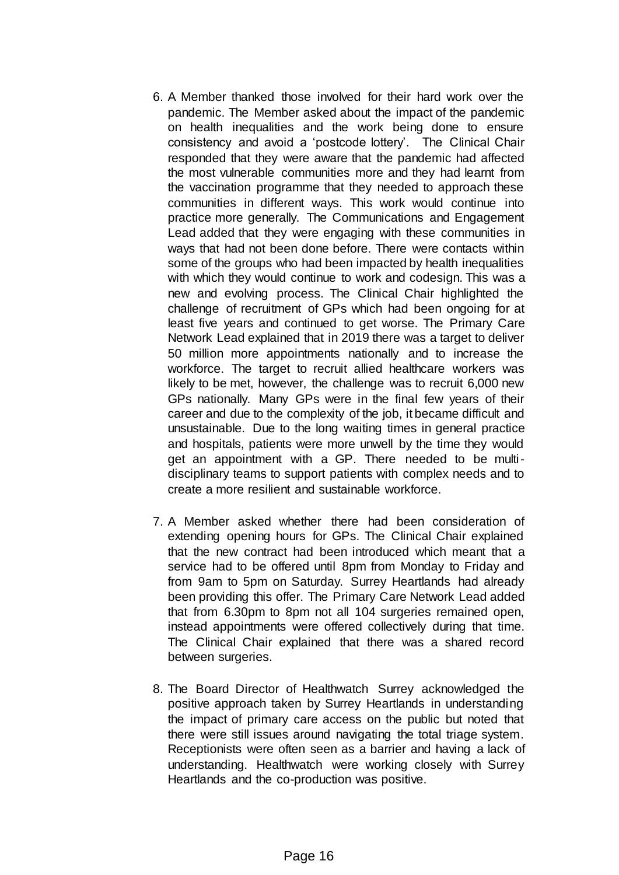- 6. A Member thanked those involved for their hard work over the pandemic. The Member asked about the impact of the pandemic on health inequalities and the work being done to ensure consistency and avoid a 'postcode lottery'. The Clinical Chair responded that they were aware that the pandemic had affected the most vulnerable communities more and they had learnt from the vaccination programme that they needed to approach these communities in different ways. This work would continue into practice more generally. The Communications and Engagement Lead added that they were engaging with these communities in ways that had not been done before. There were contacts within some of the groups who had been impacted by health inequalities with which they would continue to work and codesign. This was a new and evolving process. The Clinical Chair highlighted the challenge of recruitment of GPs which had been ongoing for at least five years and continued to get worse. The Primary Care Network Lead explained that in 2019 there was a target to deliver 50 million more appointments nationally and to increase the workforce. The target to recruit allied healthcare workers was likely to be met, however, the challenge was to recruit 6,000 new GPs nationally. Many GPs were in the final few years of their career and due to the complexity of the job, it became difficult and unsustainable. Due to the long waiting times in general practice and hospitals, patients were more unwell by the time they would get an appointment with a GP. There needed to be multidisciplinary teams to support patients with complex needs and to create a more resilient and sustainable workforce.
- 7. A Member asked whether there had been consideration of extending opening hours for GPs. The Clinical Chair explained that the new contract had been introduced which meant that a service had to be offered until 8pm from Monday to Friday and from 9am to 5pm on Saturday. Surrey Heartlands had already been providing this offer. The Primary Care Network Lead added that from 6.30pm to 8pm not all 104 surgeries remained open, instead appointments were offered collectively during that time. The Clinical Chair explained that there was a shared record between surgeries.
- 8. The Board Director of Healthwatch Surrey acknowledged the positive approach taken by Surrey Heartlands in understanding the impact of primary care access on the public but noted that there were still issues around navigating the total triage system. Receptionists were often seen as a barrier and having a lack of understanding. Healthwatch were working closely with Surrey Heartlands and the co-production was positive.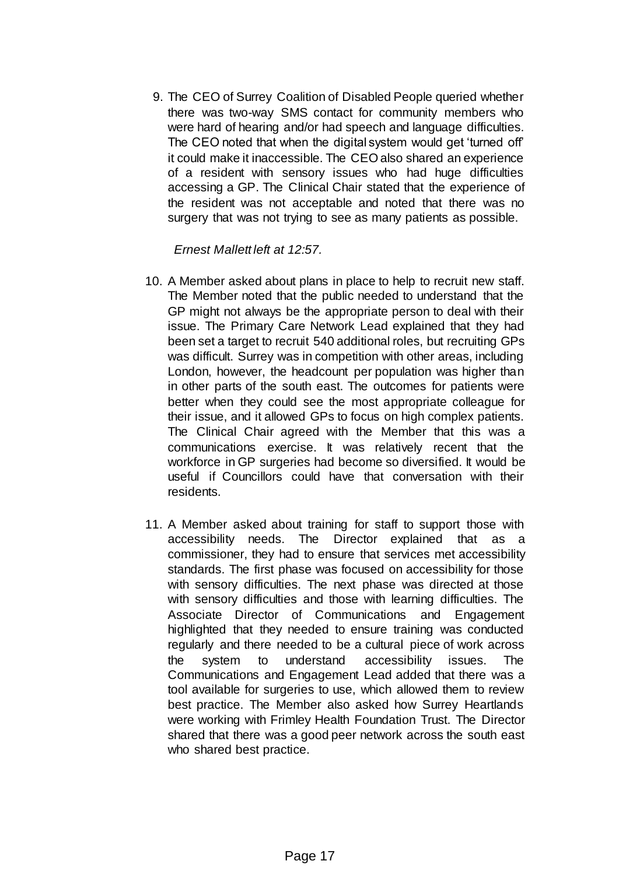9. The CEO of Surrey Coalition of Disabled People queried whether there was two-way SMS contact for community members who were hard of hearing and/or had speech and language difficulties. The CEO noted that when the digital system would get 'turned off' it could make it inaccessible. The CEO also shared an experience of a resident with sensory issues who had huge difficulties accessing a GP. The Clinical Chair stated that the experience of the resident was not acceptable and noted that there was no surgery that was not trying to see as many patients as possible.

# *Ernest Mallett left at 12:57.*

- 10. A Member asked about plans in place to help to recruit new staff. The Member noted that the public needed to understand that the GP might not always be the appropriate person to deal with their issue. The Primary Care Network Lead explained that they had been set a target to recruit 540 additional roles, but recruiting GPs was difficult. Surrey was in competition with other areas, including London, however, the headcount per population was higher than in other parts of the south east. The outcomes for patients were better when they could see the most appropriate colleague for their issue, and it allowed GPs to focus on high complex patients. The Clinical Chair agreed with the Member that this was a communications exercise. It was relatively recent that the workforce in GP surgeries had become so diversified. It would be useful if Councillors could have that conversation with their residents.
- 11. A Member asked about training for staff to support those with accessibility needs. The Director explained that as a commissioner, they had to ensure that services met accessibility standards. The first phase was focused on accessibility for those with sensory difficulties. The next phase was directed at those with sensory difficulties and those with learning difficulties. The Associate Director of Communications and Engagement highlighted that they needed to ensure training was conducted regularly and there needed to be a cultural piece of work across the system to understand accessibility issues. The Communications and Engagement Lead added that there was a tool available for surgeries to use, which allowed them to review best practice. The Member also asked how Surrey Heartlands were working with Frimley Health Foundation Trust. The Director shared that there was a good peer network across the south east who shared best practice.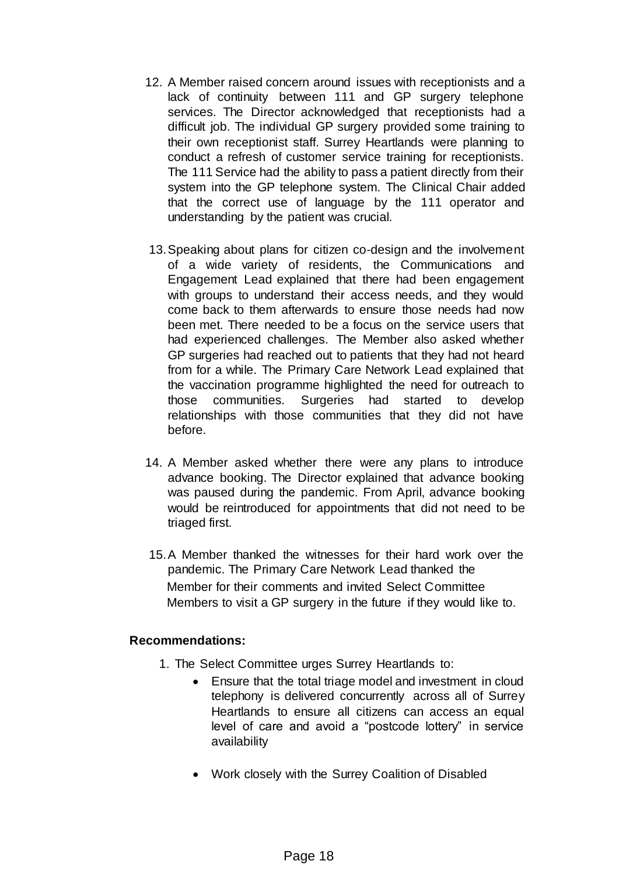- 12. A Member raised concern around issues with receptionists and a lack of continuity between 111 and GP surgery telephone services. The Director acknowledged that receptionists had a difficult job. The individual GP surgery provided some training to their own receptionist staff. Surrey Heartlands were planning to conduct a refresh of customer service training for receptionists. The 111 Service had the ability to pass a patient directly from their system into the GP telephone system. The Clinical Chair added that the correct use of language by the 111 operator and understanding by the patient was crucial.
- 13.Speaking about plans for citizen co-design and the involvement of a wide variety of residents, the Communications and Engagement Lead explained that there had been engagement with groups to understand their access needs, and they would come back to them afterwards to ensure those needs had now been met. There needed to be a focus on the service users that had experienced challenges. The Member also asked whether GP surgeries had reached out to patients that they had not heard from for a while. The Primary Care Network Lead explained that the vaccination programme highlighted the need for outreach to those communities. Surgeries had started to develop relationships with those communities that they did not have before.
- 14. A Member asked whether there were any plans to introduce advance booking. The Director explained that advance booking was paused during the pandemic. From April, advance booking would be reintroduced for appointments that did not need to be triaged first.
- 15.A Member thanked the witnesses for their hard work over the pandemic. The Primary Care Network Lead thanked the Member for their comments and invited Select Committee Members to visit a GP surgery in the future if they would like to.

## **Recommendations:**

- 1. The Select Committee urges Surrey Heartlands to:
	- Ensure that the total triage model and investment in cloud telephony is delivered concurrently across all of Surrey Heartlands to ensure all citizens can access an equal level of care and avoid a "postcode lottery" in service availability
	- Work closely with the Surrey Coalition of Disabled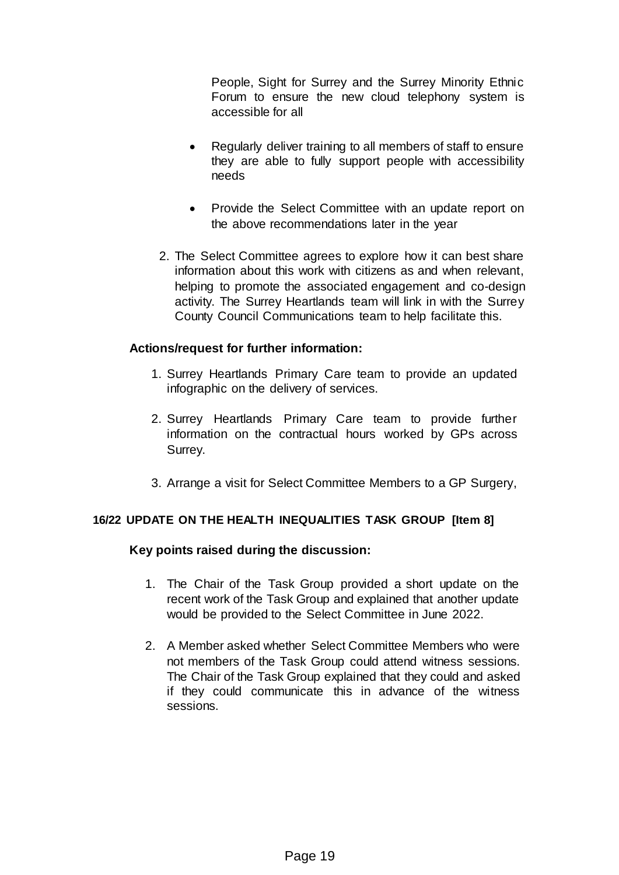People, Sight for Surrey and the Surrey Minority Ethnic Forum to ensure the new cloud telephony system is accessible for all

- Regularly deliver training to all members of staff to ensure they are able to fully support people with accessibility needs
- Provide the Select Committee with an update report on the above recommendations later in the year
- 2. The Select Committee agrees to explore how it can best share information about this work with citizens as and when relevant, helping to promote the associated engagement and co-design activity. The Surrey Heartlands team will link in with the Surrey County Council Communications team to help facilitate this.

## **Actions/request for further information:**

- 1. Surrey Heartlands Primary Care team to provide an updated infographic on the delivery of services.
- 2. Surrey Heartlands Primary Care team to provide further information on the contractual hours worked by GPs across Surrey.
- 3. Arrange a visit for Select Committee Members to a GP Surgery,

## **16/22 UPDATE ON THE HEALTH INEQUALITIES TASK GROUP [Item 8]**

- 1. The Chair of the Task Group provided a short update on the recent work of the Task Group and explained that another update would be provided to the Select Committee in June 2022.
- 2. A Member asked whether Select Committee Members who were not members of the Task Group could attend witness sessions. The Chair of the Task Group explained that they could and asked if they could communicate this in advance of the witness sessions.